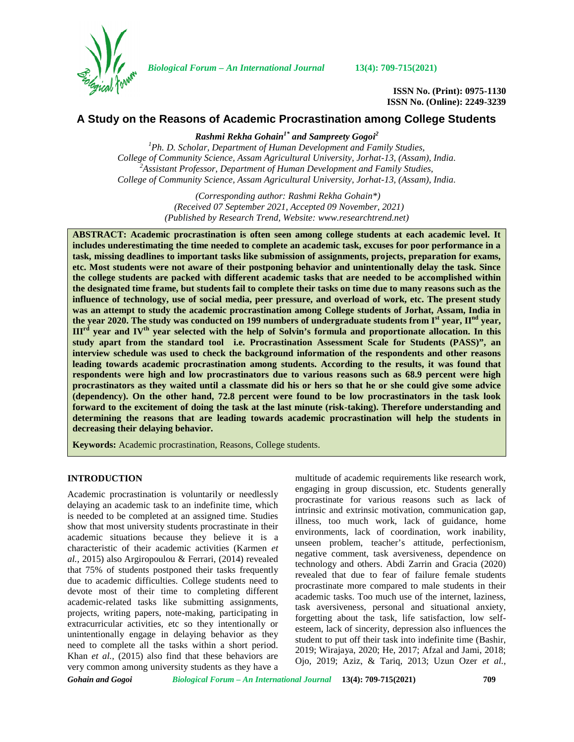

*Biological Forum – An International Journal* **13(4): 709-715(2021)**

**ISSN No. (Print): 0975-1130 ISSN No. (Online): 2249-3239**

# **A Study on the Reasons of Academic Procrastination among College Students**

*Rashmi Rekha Gohain1\* and Sampreety Gogoi<sup>2</sup> <sup>1</sup>Ph. D. Scholar, Department of Human Development and Family Studies, College of Community Science, Assam Agricultural University, Jorhat-13, (Assam), India. <sup>2</sup>Assistant Professor, Department of Human Development and Family Studies, College of Community Science, Assam Agricultural University, Jorhat-13, (Assam), India.*

> *(Corresponding author: Rashmi Rekha Gohain\*) (Received 07 September 2021, Accepted 09 November, 2021) (Published by Research Trend, Website: [www.researchtrend.net\)](www.researchtrend.net)*

**ABSTRACT: Academic procrastination is often seen among college students at each academic level. It includes underestimating the time needed to complete an academic task, excuses for poor performance in a task, missing deadlines to important tasks like submission of assignments, projects, preparation for exams, etc. Most students were not aware of their postponing behavior and unintentionally delay the task. Since the college students are packed with different academic tasks that are needed to be accomplished within the designated time frame, but students fail to complete their tasks on time due to many reasons such as the influence of technology, use of social media, peer pressure, and overload of work, etc. The present study was an attempt to study the academic procrastination among College students of Jorhat, Assam, India in the year 2020. The study was conducted on 199 numbers of undergraduate students from Ist year, IInd year, IIIrd year and IVth year selected with the help of Solvin's formula and proportionate allocation. In this study apart from the standard tool i.e. Procrastination Assessment Scale for Students (PASS)", an interview schedule was used to check the background information of the respondents and other reasons leading towards academic procrastination among students. According to the results, it was found that respondents were high and low procrastinators due to various reasons such as 68.9 percent were high procrastinators as they waited until a classmate did his or hers so that he or she could give some advice (dependency). On the other hand, 72.8 percent were found to be low procrastinators in the task look forward to the excitement of doing the task at the last minute (risk-taking). Therefore understanding and determining the reasons that are leading towards academic procrastination will help the students in decreasing their delaying behavior.**

**Keywords:** Academic procrastination, Reasons, College students.

# **INTRODUCTION**

Academic procrastination is voluntarily or needlessly delaying an academic task to an indefinite time, which is needed to be completed at an assigned time. Studies show that most university students procrastinate in their academic situations because they believe it is a characteristic of their academic activities (Karmen *et al.,* 2015) also Argiropoulou & Ferrari, (2014) revealed that 75% of students postponed their tasks frequently due to academic difficulties. College students need to devote most of their time to completing different academic-related tasks like submitting assignments, projects, writing papers, note-making, participating in extracurricular activities, etc so they intentionally or unintentionally engage in delaying behavior as they need to complete all the tasks within a short period. Khan *et al.,* (2015) also find that these behaviors are very common among university students as they have a

multitude of academic requirements like research work, engaging in group discussion, etc. Students generally procrastinate for various reasons such as lack of intrinsic and extrinsic motivation, communication gap, illness, too much work, lack of guidance, home environments, lack of coordination, work inability, unseen problem, teacher's attitude, perfectionism, negative comment, task aversiveness, dependence on technology and others. Abdi Zarrin and Gracia (2020) revealed that due to fear of failure female students procrastinate more compared to male students in their academic tasks. Too much use of the internet, laziness, task aversiveness, personal and situational anxiety, forgetting about the task, life satisfaction, low self esteem, lack of sincerity, depression also influences the student to put off their task into indefinite time (Bashir, 2019; Wirajaya, 2020; He, 2017; Afzal and Jami, 2018; Ojo, 2019; Aziz, & Tariq, 2013; Uzun Ozer *et al.,*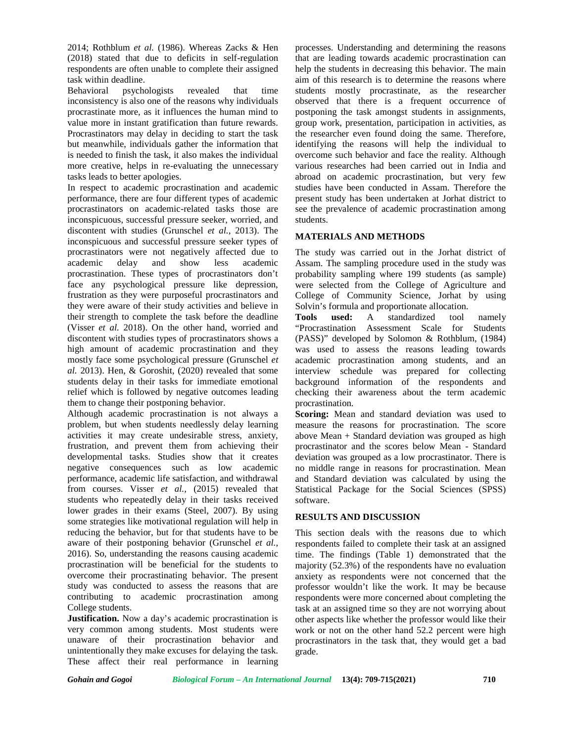2014; Rothblum *et al.* (1986). Whereas Zacks & Hen (2018) stated that due to deficits in self-regulation respondents are often unable to complete their assigned task within deadline.

Behavioral psychologists revealed that time inconsistency is also one of the reasons why individuals procrastinate more, as it influences the human mind to value more in instant gratification than future rewards. Procrastinators may delay in deciding to start the task but meanwhile, individuals gather the information that is needed to finish the task, it also makes the individual more creative, helps in re-evaluating the unnecessary tasks leads to better apologies.

In respect to academic procrastination and academic performance, there are four different types of academic procrastinators on academic-related tasks those are inconspicuous, successful pressure seeker, worried, and discontent with studies (Grunschel *et al.,* 2013). The inconspicuous and successful pressure seeker types of procrastinators were not negatively affected due to academic delay and show less academic procrastination. These types of procrastinators don't face any psychological pressure like depression, frustration as they were purposeful procrastinators and they were aware of their study activities and believe in their strength to complete the task before the deadline (Visser *et al.* 2018). On the other hand, worried and discontent with studies types of procrastinators shows a high amount of academic procrastination and they mostly face some psychological pressure (Grunschel *et al.* 2013). Hen, & Goroshit, (2020) revealed that some students delay in their tasks for immediate emotional relief which is followed by negative outcomes leading them to change their postponing behavior.

Although academic procrastination is not always a problem, but when students needlessly delay learning activities it may create undesirable stress, anxiety, frustration, and prevent them from achieving their developmental tasks. Studies show that it creates negative consequences such as low academic performance, academic life satisfaction, and withdrawal from courses. Visser *et al.,* (2015) revealed that students who repeatedly delay in their tasks received lower grades in their exams (Steel, 2007). By using some strategies like motivational regulation will help in reducing the behavior, but for that students have to be aware of their postponing behavior (Grunschel *et al.,* 2016). So, understanding the reasons causing academic procrastination will be beneficial for the students to overcome their procrastinating behavior. The present study was conducted to assess the reasons that are contributing to academic procrastination among College students.

**Justification.** Now a day's academic procrastination is very common among students. Most students were unaware of their procrastination behavior and unintentionally they make excuses for delaying the task. These affect their real performance in learning processes. Understanding and determining the reasons that are leading towards academic procrastination can help the students in decreasing this behavior. The main aim of this research is to determine the reasons where students mostly procrastinate, as the researcher observed that there is a frequent occurrence of postponing the task amongst students in assignments, group work, presentation, participation in activities, as the researcher even found doing the same. Therefore, identifying the reasons will help the individual to overcome such behavior and face the reality. Although various researches had been carried out in India and abroad on academic procrastination, but very few studies have been conducted in Assam. Therefore the present study has been undertaken at Jorhat district to see the prevalence of academic procrastination among students.

# **MATERIALS AND METHODS**

The study was carried out in the Jorhat district of Assam. The sampling procedure used in the study was probability sampling where 199 students (as sample) were selected from the College of Agriculture and College of Community Science, Jorhat by using Solvin's formula and proportionate allocation.

**used:** A standardized tool namely "Procrastination Assessment Scale for Students (PASS)" developed by Solomon & Rothblum, (1984) was used to assess the reasons leading towards academic procrastination among students, and an interview schedule was prepared for collecting background information of the respondents and checking their awareness about the term academic procrastination.

**Scoring:** Mean and standard deviation was used to measure the reasons for procrastination. The score above Mean + Standard deviation was grouped as high procrastinator and the scores below Mean - Standard deviation was grouped as a low procrastinator. There is no middle range in reasons for procrastination. Mean and Standard deviation was calculated by using the Statistical Package for the Social Sciences (SPSS) software.

## **RESULTS AND DISCUSSION**

This section deals with the reasons due to which respondents failed to complete their task at an assigned time. The findings (Table 1) demonstrated that the majority (52.3%) of the respondents have no evaluation anxiety as respondents were not concerned that the professor wouldn't like the work. It may be because respondents were more concerned about completing the task at an assigned time so they are not worrying about other aspects like whether the professor would like their work or not on the other hand 52.2 percent were high procrastinators in the task that, they would get a bad grade.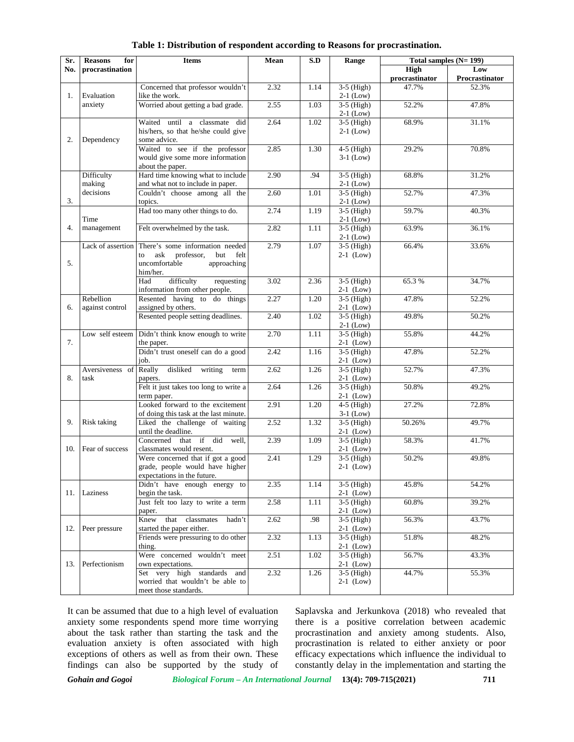| Sr. | <b>Reasons</b><br>for | <b>Items</b>                                | Mean | S.D  | Range        | Total samples $(N=199)$ |                       |
|-----|-----------------------|---------------------------------------------|------|------|--------------|-------------------------|-----------------------|
| No. | procrastination       |                                             |      |      |              | High<br>procrastinator  | Low<br>Procrastinator |
|     |                       | Concerned that professor wouldn't           | 2.32 | 1.14 | $3-5$ (High) | 47.7%                   | 52.3%                 |
| 1.  | Evaluation            | like the work.                              |      |      | $2-1$ (Low)  |                         |                       |
|     | anxiety               | Worried about getting a bad grade.          | 2.55 | 1.03 | $3-5$ (High) | 52.2%                   | 47.8%                 |
|     |                       |                                             |      |      | $2-1$ (Low)  |                         |                       |
|     |                       | Waited until a classmate did                | 2.64 | 1.02 | $3-5$ (High) | 68.9%                   | 31.1%                 |
| 2.  |                       | his/hers, so that he/she could give         |      |      | $2-1$ (Low)  |                         |                       |
|     | Dependency            | some advice.                                |      |      |              |                         |                       |
|     |                       | Waited to see if the professor              | 2.85 | 1.30 | $4-5$ (High) | 29.2%                   | 70.8%                 |
|     |                       | would give some more information            |      |      | $3-1$ (Low)  |                         |                       |
|     |                       | about the paper.                            |      |      |              |                         |                       |
|     | Difficulty            | Hard time knowing what to include           | 2.90 | .94  | $3-5$ (High) | 68.8%                   | 31.2%                 |
|     | making                | and what not to include in paper.           |      |      | $2-1$ (Low)  |                         |                       |
|     | decisions             | Couldn't choose among all the               | 2.60 | 1.01 | $3-5$ (High) | 52.7%                   | 47.3%                 |
| 3.  |                       | topics.                                     |      |      | $2-1$ (Low)  |                         |                       |
|     |                       | Had too many other things to do.            | 2.74 | 1.19 | $3-5$ (High) | 59.7%                   | 40.3%                 |
|     | Time                  |                                             |      |      | $2-1$ (Low)  |                         |                       |
| 4.  | management            | Felt overwhelmed by the task.               | 2.82 | 1.11 | $3-5$ (High) | 63.9%                   | 36.1%                 |
|     |                       |                                             |      |      | $2-1$ (Low)  |                         |                       |
|     | Lack of assertion     | There's some information needed             | 2.79 | 1.07 | $3-5$ (High) | 66.4%                   | 33.6%                 |
|     |                       | ask professor,<br>but<br>felt<br>to         |      |      | $2-1$ (Low)  |                         |                       |
| 5.  |                       | uncomfortable<br>approaching                |      |      |              |                         |                       |
|     |                       | him/her.                                    |      |      |              |                         |                       |
|     |                       | requesting<br>Had<br>difficulty             | 3.02 | 2.36 | $3-5$ (High) | 65.3%                   | 34.7%                 |
|     |                       | information from other people.              |      |      | $2-1$ (Low)  |                         |                       |
|     | Rebellion             | Resented having to do things                | 2.27 | 1.20 | $3-5$ (High) | 47.8%                   | 52.2%                 |
| 6.  | against control       | assigned by others.                         |      |      | $2-1$ (Low)  |                         |                       |
|     |                       | Resented people setting deadlines.          | 2.40 | 1.02 | $3-5$ (High) | 49.8%                   | 50.2%                 |
|     |                       |                                             |      |      | $2-1$ (Low)  |                         |                       |
| 7.  | Low self esteem       | Didn't think know enough to write           | 2.70 | 1.11 | $3-5$ (High) | 55.8%                   | 44.2%                 |
|     |                       | the paper.                                  |      |      | $2-1$ (Low)  |                         |                       |
|     |                       | Didn't trust oneself can do a good          | 2.42 | 1.16 | $3-5$ (High) | 47.8%                   | 52.2%                 |
|     |                       | job.                                        |      |      | $2-1$ (Low)  |                         |                       |
| 8.  | Aversiveness of       | Really<br>disliked writing<br>term          | 2.62 | 1.26 | $3-5$ (High) | 52.7%                   | 47.3%                 |
|     | task                  | papers.                                     |      |      | $2-1$ (Low)  |                         |                       |
|     |                       | Felt it just takes too long to write a      | 2.64 | 1.26 | $3-5$ (High) | 50.8%                   | 49.2%                 |
|     |                       | term paper.                                 |      |      | $2-1$ (Low)  |                         |                       |
|     |                       | Looked forward to the excitement            | 2.91 | 1.20 | $4-5$ (High) | 27.2%                   | 72.8%                 |
|     |                       | of doing this task at the last minute.      |      |      | $3-1$ (Low)  |                         |                       |
| 9.  | Risk taking           | Liked the challenge of waiting              | 2.52 | 1.32 | $3-5$ (High) | 50.26%                  | 49.7%                 |
|     |                       | until the deadline.                         |      |      | $2-1$ (Low)  |                         |                       |
|     |                       | that if did<br>Concerned<br>well.           | 2.39 | 1.09 | $3-5$ (High) | 58.3%                   | 41.7%                 |
| 10. | Fear of success       | classmates would resent.                    |      |      | $2-1$ (Low)  |                         |                       |
|     |                       | Were concerned that if got a good           | 2.41 | 1.29 | $3-5$ (High) | 50.2%                   | 49.8%                 |
|     |                       | grade, people would have higher             |      |      | $2-1$ (Low)  |                         |                       |
|     |                       | expectations in the future.                 |      |      |              |                         |                       |
|     |                       | Didn't have enough energy to                | 2.35 | 1.14 | $3-5$ (High) | 45.8%                   | 54.2%                 |
|     | 11. Laziness          | begin the task.                             |      |      | $2-1$ (Low)  |                         |                       |
|     |                       | Just felt too lazy to write a term          | 2.58 | 1.11 | $3-5$ (High) | 60.8%                   | 39.2%                 |
|     |                       |                                             |      |      | $2-1$ (Low)  |                         |                       |
|     |                       | paper.<br>that classmates<br>Knew<br>hadn't | 2.62 | .98  | $3-5$ (High) | 56.3%                   | 43.7%                 |
| 12. | Peer pressure         | started the paper either.                   |      |      | $2-1$ (Low)  |                         |                       |
|     |                       |                                             |      |      |              |                         |                       |
|     |                       | Friends were pressuring to do other         | 2.32 | 1.13 | $3-5$ (High) | 51.8%                   | 48.2%                 |
|     |                       | thing.                                      |      |      | $2-1$ (Low)  |                         |                       |
|     |                       | Were concerned wouldn't meet                | 2.51 | 1.02 | $3-5$ (High) | 56.7%                   | 43.3%                 |
| 13. | Perfectionism         | own expectations.                           |      |      | $2-1$ (Low)  |                         |                       |
|     |                       | Set very high standards and                 | 2.32 | 1.26 | $3-5$ (High) | 44.7%                   | 55.3%                 |
|     |                       | worried that wouldn't be able to            |      |      | $2-1$ (Low)  |                         |                       |
|     |                       | meet those standards.                       |      |      |              |                         |                       |

### **Table 1: Distribution of respondent according to Reasons for procrastination.**

It can be assumed that due to a high level of evaluation anxiety some respondents spend more time worrying about the task rather than starting the task and the evaluation anxiety is often associated with high exceptions of others as well as from their own. These findings can also be supported by the study of Saplavska and Jerkunkova (2018) who revealed that there is a positive correlation between academic procrastination and anxiety among students. Also, procrastination is related to either anxiety or poor efficacy expectations which influence the individual to constantly delay in the implementation and starting the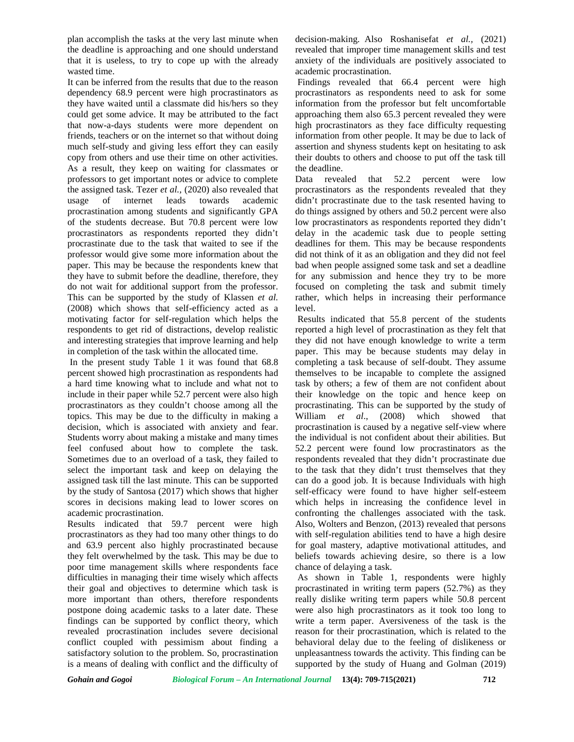plan accomplish the tasks at the very last minute when the deadline is approaching and one should understand that it is useless, to try to cope up with the already wasted time.

It can be inferred from the results that due to the reason dependency 68.9 percent were high procrastinators as they have waited until a classmate did his/hers so they could get some advice. It may be attributed to the fact that now-a-days students were more dependent on friends, teachers or on the internet so that without doing much self-study and giving less effort they can easily copy from others and use their time on other activities. As a result, they keep on waiting for classmates or professors to get important notes or advice to complete the assigned task. Tezer *et al.,* (2020) also revealed that usage of internet leads towards academic procrastination among students and significantly GPA of the students decrease. But 70.8 percent were low procrastinators as respondents reported they didn't procrastinate due to the task that waited to see if the professor would give some more information about the paper. This may be because the respondents knew that they have to submit before the deadline, therefore, they do not wait for additional support from the professor. This can be supported by the study of Klassen *et al.* (2008) which shows that self-efficiency acted as a motivating factor for self-regulation which helps the respondents to get rid of distractions, develop realistic and interesting strategies that improve learning and help in completion of the task within the allocated time.

In the present study Table 1 it was found that 68.8 percent showed high procrastination as respondents had a hard time knowing what to include and what not to include in their paper while 52.7 percent were also high procrastinators as they couldn't choose among all the topics. This may be due to the difficulty in making a decision, which is associated with anxiety and fear. Students worry about making a mistake and many times feel confused about how to complete the task. Sometimes due to an overload of a task, they failed to select the important task and keep on delaying the assigned task till the last minute. This can be supported by the study of Santosa (2017) which shows that higher scores in decisions making lead to lower scores on academic procrastination.

Results indicated that 59.7 percent were high procrastinators as they had too many other things to do and 63.9 percent also highly procrastinated because they felt overwhelmed by the task. This may be due to poor time management skills where respondents face difficulties in managing their time wisely which affects their goal and objectives to determine which task is more important than others, therefore respondents postpone doing academic tasks to a later date. These findings can be supported by conflict theory, which revealed procrastination includes severe decisional conflict coupled with pessimism about finding a satisfactory solution to the problem. So, procrastination is a means of dealing with conflict and the difficulty of

decision-making. Also Roshanisefat *et al.,* (2021) revealed that improper time management skills and test anxiety of the individuals are positively associated to academic procrastination.

Findings revealed that 66.4 percent were high procrastinators as respondents need to ask for some information from the professor but felt uncomfortable approaching them also 65.3 percent revealed they were high procrastinators as they face difficulty requesting information from other people. It may be due to lack of assertion and shyness students kept on hesitating to ask their doubts to others and choose to put off the task till the deadline.

Data revealed that 52.2 percent were low procrastinators as the respondents revealed that they didn't procrastinate due to the task resented having to do things assigned by others and 50.2 percent were also low procrastinators as respondents reported they didn't delay in the academic task due to people setting deadlines for them. This may be because respondents did not think of it as an obligation and they did not feel bad when people assigned some task and set a deadline for any submission and hence they try to be more focused on completing the task and submit timely rather, which helps in increasing their performance level.

Results indicated that 55.8 percent of the students reported a high level of procrastination as they felt that they did not have enough knowledge to write a term paper. This may be because students may delay in completing a task because of self-doubt. They assume themselves to be incapable to complete the assigned task by others; a few of them are not confident about their knowledge on the topic and hence keep on procrastinating. This can be supported by the study of William *et al*., (2008) which showed that procrastination is caused by a negative self-view where the individual is not confident about their abilities. But 52.2 percent were found low procrastinators as the respondents revealed that they didn't procrastinate due to the task that they didn't trust themselves that they can do a good job. It is because Individuals with high self-efficacy were found to have higher self-esteem which helps in increasing the confidence level in confronting the challenges associated with the task. Also, Wolters and Benzon, (2013) revealed that persons with self-regulation abilities tend to have a high desire for goal mastery, adaptive motivational attitudes, and beliefs towards achieving desire, so there is a low chance of delaying a task.

As shown in Table 1, respondents were highly procrastinated in writing term papers (52.7%) as they really dislike writing term papers while 50.8 percent were also high procrastinators as it took too long to write a term paper. Aversiveness of the task is the reason for their procrastination, which is related to the behavioral delay due to the feeling of dislikeness or unpleasantness towards the activity. This finding can be supported by the study of Huang and Golman (2019)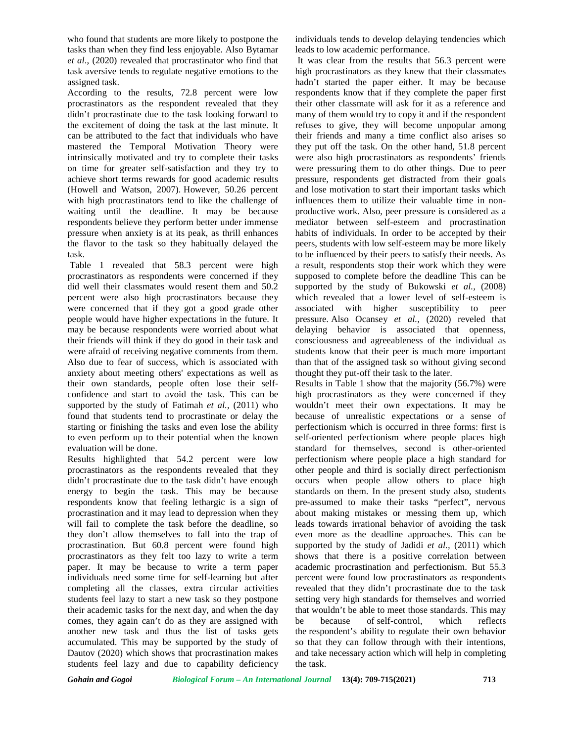who found that students are more likely to postpone the tasks than when they find less enjoyable. Also Bytamar *et al*., (2020) revealed that procrastinator who find that task aversive tends to regulate negative emotions to the assigned task.

According to the results, 72.8 percent were low procrastinators as the respondent revealed that they didn't procrastinate due to the task looking forward to the excitement of doing the task at the last minute. It can be attributed to the fact that individuals who have mastered the Temporal Motivation Theory were intrinsically motivated and try to complete their tasks on time for greater self-satisfaction and they try to achieve short terms rewards for good academic results (Howell and Watson, 2007). However, 50.26 percent with high procrastinators tend to like the challenge of waiting until the deadline. It may be because respondents believe they perform better under immense pressure when anxiety is at its peak, as thrill enhances the flavor to the task so they habitually delayed the task.

Table 1 revealed that 58.3 percent were high procrastinators as respondents were concerned if they did well their classmates would resent them and 50.2 percent were also high procrastinators because they were concerned that if they got a good grade other people would have higher expectations in the future. It may be because respondents were worried about what their friends will think if they do good in their task and were afraid of receiving negative comments from them. Also due to fear of success, which is associated with anxiety about meeting others' expectations as well as their own standards, people often lose their self confidence and start to avoid the task. This can be supported by the study of Fatimah *et al.,* (2011) who found that students tend to procrastinate or delay the starting or finishing the tasks and even lose the ability to even perform up to their potential when the known evaluation will be done.

Results highlighted that 54.2 percent were low procrastinators as the respondents revealed that they didn't procrastinate due to the task didn't have enough energy to begin the task. This may be because respondents know that feeling lethargic is a sign of procrastination and it may lead to depression when they will fail to complete the task before the deadline, so they don't allow themselves to fall into the trap of procrastination. But 60.8 percent were found high procrastinators as they felt too lazy to write a term paper. It may be because to write a term paper individuals need some time for self-learning but after completing all the classes, extra circular activities students feel lazy to start a new task so they postpone their academic tasks for the next day, and when the day comes, they again can't do as they are assigned with another new task and thus the list of tasks gets accumulated. This may be supported by the study of Dautov (2020) which shows that procrastination makes students feel lazy and due to capability deficiency

individuals tends to develop delaying tendencies which leads to low academic performance.

It was clear from the results that 56.3 percent were high procrastinators as they knew that their classmates hadn't started the paper either. It may be because respondents know that if they complete the paper first their other classmate will ask for it as a reference and many of them would try to copy it and if the respondent refuses to give, they will become unpopular among their friends and many a time conflict also arises so they put off the task. On the other hand, 51.8 percent were also high procrastinators as respondents' friends were pressuring them to do other things. Due to peer pressure, respondents get distracted from their goals and lose motivation to start their important tasks which influences them to utilize their valuable time in non productive work. Also, peer pressure is considered as a mediator between self-esteem and procrastination habits of individuals. In order to be accepted by their peers, students with low self-esteem may be more likely to be influenced by their peers to satisfy their needs. As a result, respondents stop their work which they were supposed to complete before the deadline This can be supported by the study of Bukowski *et al.,* (2008) which revealed that a lower level of self-esteem is associated with higher susceptibility to peer pressure. Also Ocansey *et al.,* (2020) reveled that delaying behavior is associated that openness, consciousness and agreeableness of the individual as students know that their peer is much more important than that of the assigned task so without giving second thought they put-off their task to the later.

Results in Table 1 show that the majority (56.7%) were high procrastinators as they were concerned if they wouldn't meet their own expectations. It may be because of unrealistic expectations or a sense of perfectionism which is occurred in three forms: first is self-oriented perfectionism where people places high standard for themselves, second is other-oriented perfectionism where people place a high standard for other people and third is socially direct perfectionism occurs when people allow others to place high standards on them. In the present study also, students pre-assumed to make their tasks "perfect", nervous about making mistakes or messing them up, which leads towards irrational behavior of avoiding the task even more as the deadline approaches. This can be supported by the study of Jadidi *et al.,* (2011) which shows that there is a positive correlation between academic procrastination and perfectionism. But 55.3 percent were found low procrastinators as respondents revealed that they didn't procrastinate due to the task setting very high standards for themselves and worried that wouldn't be able to meet those standards. This may be because of self-control, which reflects the respondent's ability to regulate their own behavior so that they can follow through with their intentions, and take necessary action which will help in completing the task.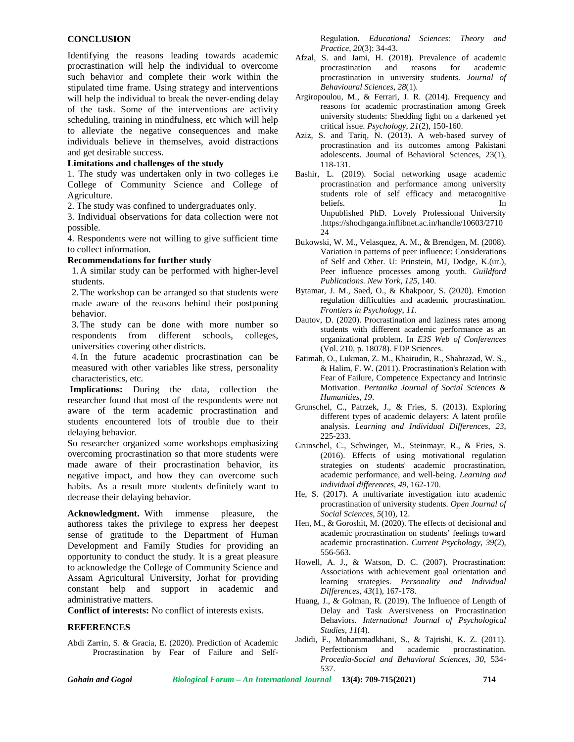### **CONCLUSION**

Identifying the reasons leading towards academic procrastination will help the individual to overcome such behavior and complete their work within the stipulated time frame. Using strategy and interventions will help the individual to break the never-ending delay of the task. Some of the interventions are activity scheduling, training in mindfulness, etc which will help to alleviate the negative consequences and make individuals believe in themselves, avoid distractions and get desirable success.

#### **Limitations and challenges of the study**

1. The study was undertaken only in two colleges i.e College of Community Science and College of Agriculture.

2. The study was confined to undergraduates only.

3. Individual observations for data collection were not possible.

4. Respondents were not willing to give sufficient time to collect information.

#### **Recommendations for further study**

1. A similar study can be performed with higher-level students.

2. The workshop can be arranged so that students were made aware of the reasons behind their postponing behavior.

3. The study can be done with more number so respondents from different schools, colleges, universities covering other districts.

4.In the future academic procrastination can be measured with other variables like stress, personality characteristics, etc.

**Implications:** During the data, collection the researcher found that most of the respondents were not aware of the term academic procrastination and students encountered lots of trouble due to their delaying behavior.

So researcher organized some workshops emphasizing overcoming procrastination so that more students were made aware of their procrastination behavior, its negative impact, and how they can overcome such habits. As a result more students definitely want to decrease their delaying behavior.

**Acknowledgment.** With immense pleasure, the authoress takes the privilege to express her deepest sense of gratitude to the Department of Human Development and Family Studies for providing an opportunity to conduct the study. It is a great pleasure to acknowledge the College of Community Science and Assam Agricultural University, Jorhat for providing constant help and support in academic and administrative matters.

**Conflict of interests:** No conflict of interests exists.

#### **REFERENCES**

Abdi Zarrin, S. & Gracia, E. (2020). Prediction of Academic Procrastination by Fear of Failure and SelfRegulation. *Educational Sciences: Theory and Practice*, *20*(3): 34-43.

- Afzal, S. and Jami, H. (2018). Prevalence of academic procrastination and reasons for academic procrastination in university students. *Journal of Behavioural Sciences*, *28*(1).
- Argiropoulou, M., & Ferrari, J. R. (2014). Frequency and reasons for academic procrastination among Greek university students: Shedding light on a darkened yet critical issue. *Psychology*, *21*(2), 150-160.
- Aziz, S. and Tariq, N. (2013). A web-based survey of procrastination and its outcomes among Pakistani adolescents. Journal of Behavioral Sciences, 23(1), 118-131.
- Bashir, L. (2019). Social networking usage academic procrastination and performance among university students role of self efficacy and metacognitive beliefs. In Unpublished PhD. Lovely Professional University .https://shodhganga.inflibnet.ac.in/handle/10603/2710 24
- Bukowski, W. M., Velasquez, A. M., & Brendgen, M. (2008). Variation in patterns of peer influence: Considerations of Self and Other. U: Prinstein, MJ, Dodge, K.(ur.), Peer influence processes among youth. *Guildford Publications. New York*, *125*, 140.
- Bytamar, J. M., Saed, O., & Khakpoor, S. (2020). Emotion regulation difficulties and academic procrastination. *Frontiers in Psychology*, *11*.
- Dautov, D. (2020). Procrastination and laziness rates among students with different academic performance as an organizational problem. In *E3S Web of Conferences* (Vol. 210, p. 18078). EDP Sciences.
- Fatimah, O., Lukman, Z. M., Khairudin, R., Shahrazad, W. S., & Halim, F. W. (2011). Procrastination's Relation with Fear of Failure, Competence Expectancy and Intrinsic Motivation. *Pertanika Journal of Social Sciences & Humanities*, *19*.
- Grunschel, C., Patrzek, J., & Fries, S. (2013). Exploring different types of academic delayers: A latent profile analysis. *Learning and Individual Differences*, *23*, 225-233.
- Grunschel, C., Schwinger, M., Steinmayr, R., & Fries, S. (2016). Effects of using motivational regulation strategies on students' academic procrastination, academic performance, and well-being. *Learning and individual differences*, *49*, 162-170.
- He, S. (2017). A multivariate investigation into academic procrastination of university students. *Open Journal of Social Sciences*, *5*(10), 12.
- Hen, M., & Goroshit, M. (2020). The effects of decisional and academic procrastination on students' feelings toward academic procrastination. *Current Psychology*, *39*(2), 556-563.
- Howell, A. J., & Watson, D. C. (2007). Procrastination: Associations with achievement goal orientation and learning strategies. *Personality and Individual Differences*, *43*(1), 167-178.
- Huang, J., & Golman, R. (2019). The Influence of Length of Delay and Task Aversiveness on Procrastination Behaviors. *International Journal of Psychological Studies*, *11*(4).
- Jadidi, F., Mohammadkhani, S., & Tajrishi, K. Z. (2011). Perfectionism and academic procrastination. *Procedia-Social and Behavioral Sciences*, *30*, 534- 537.

*Gohain and Gogoi Biological Forum – An International Journal* **13(4): 709-715(2021) 714**